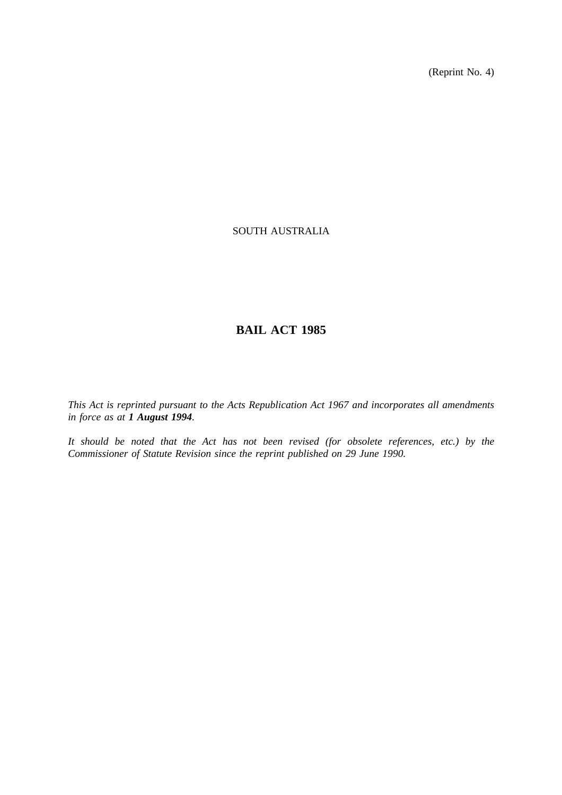(Reprint No. 4)

## SOUTH AUSTRALIA

# **BAIL ACT 1985**

*This Act is reprinted pursuant to the Acts Republication Act 1967 and incorporates all amendments in force as at 1 August 1994.*

*It should be noted that the Act has not been revised (for obsolete references, etc.) by the Commissioner of Statute Revision since the reprint published on 29 June 1990.*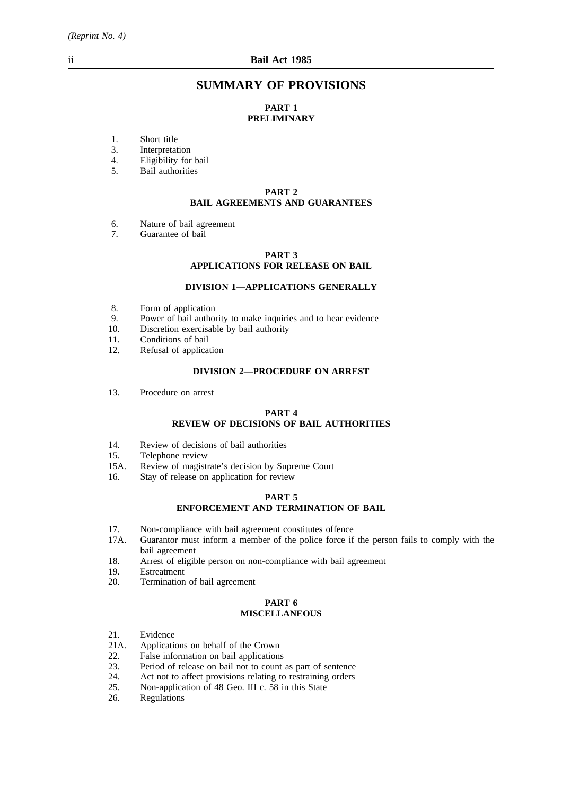## **SUMMARY OF PROVISIONS**

## **PART 1 PRELIMINARY**

- 1. Short title<br>3. Interpretat
- 3. Interpretation<br>4. Eligibility for
- 4. Eligibility for bail<br>5. Bail authorities
- 5. Bail authorities

### **PART 2 BAIL AGREEMENTS AND GUARANTEES**

- 6. Nature of bail agreement<br>7. Guarantee of bail
- Guarantee of bail

#### **PART 3 APPLICATIONS FOR RELEASE ON BAIL**

### **DIVISION 1—APPLICATIONS GENERALLY**

- 8. Form of application
- 9. Power of bail authority to make inquiries and to hear evidence 10. Discretion exercisable by bail authority
- Discretion exercisable by bail authority
- 11. Conditions of bail<br>12. Refusal of application
- Refusal of application

### **DIVISION 2—PROCEDURE ON ARREST**

13. Procedure on arrest

#### **PART 4 REVIEW OF DECISIONS OF BAIL AUTHORITIES**

- 14. Review of decisions of bail authorities
- 15. Telephone review
- 15A. Review of magistrate's decision by Supreme Court
- 16. Stay of release on application for review

#### **PART 5 ENFORCEMENT AND TERMINATION OF BAIL**

- 17. Non-compliance with bail agreement constitutes offence
- 17A. Guarantor must inform a member of the police force if the person fails to comply with the bail agreement
- 18. Arrest of eligible person on non-compliance with bail agreement
- 19. Estreatment
- 20. Termination of bail agreement

### **PART 6 MISCELLANEOUS**

- 21. Evidence
- 
- 21A. Applications on behalf of the Crown<br>22. False information on bail applications False information on bail applications
- 23. Period of release on bail not to count as part of sentence 24. Act not to affect provisions relating to restraining orders
- 
- 24. Act not to affect provisions relating to restraining orders<br>25. Non-application of 48 Geo. III c. 58 in this State 25. Non-application of 48 Geo. III c. 58 in this State 26. Regulations
- Regulations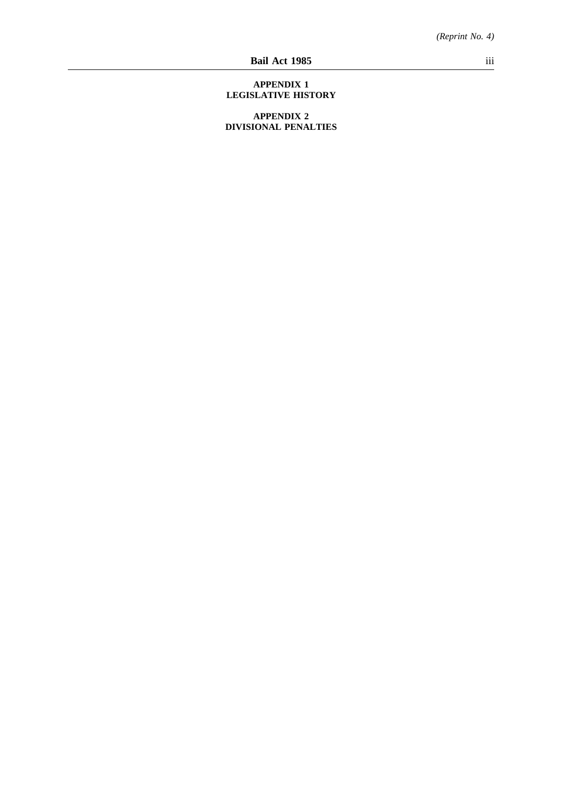### **APPENDIX 1 LEGISLATIVE HISTORY**

**APPENDIX 2 DIVISIONAL PENALTIES**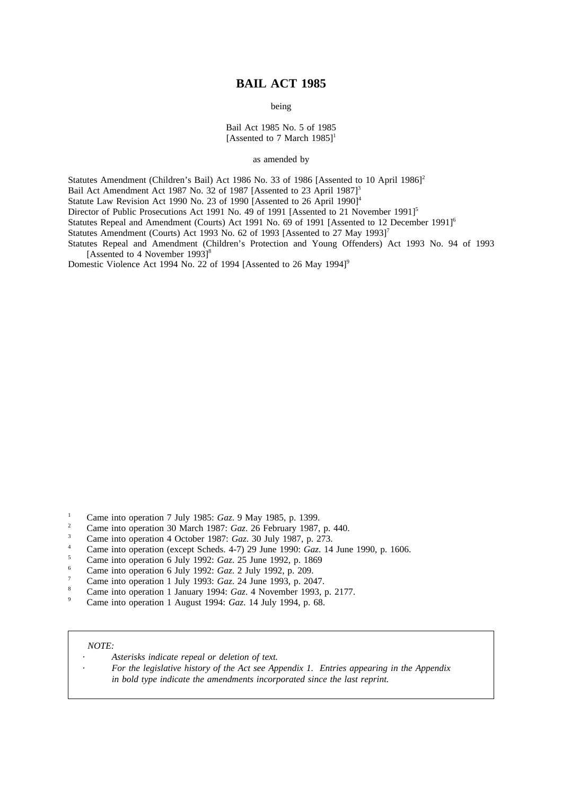## **BAIL ACT 1985**

being

Bail Act 1985 No. 5 of 1985 [Assented to 7 March  $1985$ ]<sup>1</sup>

as amended by

Statutes Amendment (Children's Bail) Act 1986 No. 33 of 1986 [Assented to 10 April 1986]<sup>2</sup>

Bail Act Amendment Act 1987 No. 32 of 1987 [Assented to 23 April 1987]<sup>3</sup>

Statute Law Revision Act 1990 No. 23 of 1990 [Assented to 26 April 1990]<sup>4</sup>

Director of Public Prosecutions Act 1991 No. 49 of 1991 [Assented to 21 November 1991]<sup>5</sup>

Statutes Repeal and Amendment (Courts) Act 1991 No. 69 of 1991 [Assented to 12 December 1991]<sup>6</sup>

Statutes Amendment (Courts) Act 1993 No. 62 of 1993 [Assented to 27 May 1993]<sup>7</sup>

Statutes Repeal and Amendment (Children's Protection and Young Offenders) Act 1993 No. 94 of 1993 [Assented to 4 November 1993]<sup>8</sup>

Domestic Violence Act 1994 No. 22 of 1994 [Assented to 26 May 1994]<sup>9</sup>

- <sup>1</sup> Came into operation 7 July 1985: *Gaz*. 9 May 1985, p. 1399.
- <sup>2</sup> Came into operation 30 March 1987: *Gaz*. 26 February 1987, p. 440.
- <sup>3</sup> Came into operation 4 October 1987: *Gaz*. 30 July 1987, p. 273.
- <sup>4</sup> Came into operation (except Scheds. 4-7) 29 June 1990: *Gaz*. 14 June 1990, p. 1606.
- <sup>5</sup> Came into operation 6 July 1992: *Gaz*. 25 June 1992, p. 1869
- <sup>6</sup> Came into operation 6 July 1992: *Gaz*. 2 July 1992, p. 209.
- <sup>7</sup> Came into operation 1 July 1993: *Gaz*. 24 June 1993, p. 2047.
- <sup>8</sup> Came into operation 1 January 1994: *Gaz*. 4 November 1993, p. 2177.
- <sup>9</sup> Came into operation 1 August 1994: *Gaz*. 14 July 1994, p. 68.

#### *NOTE:*

*Asterisks indicate repeal or deletion of text.*

*For the legislative history of the Act see Appendix 1. Entries appearing in the Appendix in bold type indicate the amendments incorporated since the last reprint.*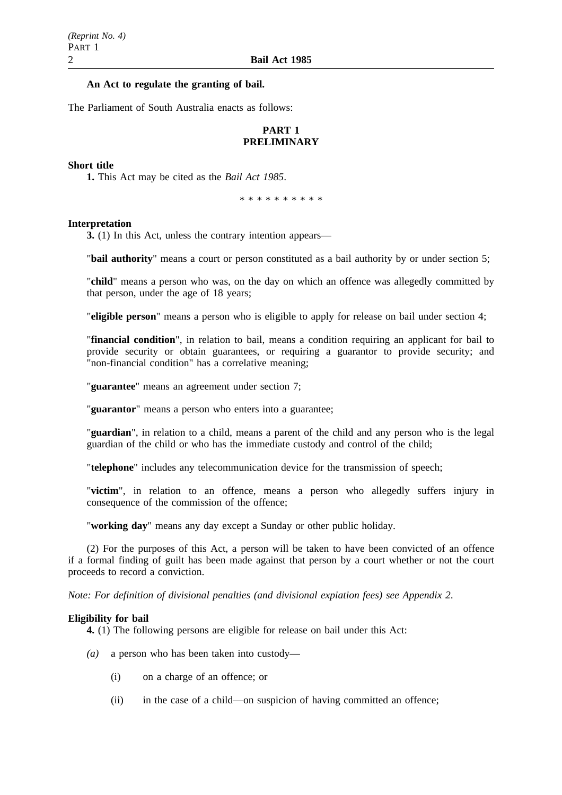### **An Act to regulate the granting of bail.**

The Parliament of South Australia enacts as follows:

## **PART 1 PRELIMINARY**

### **Short title**

**1.** This Act may be cited as the *Bail Act 1985*.

\*\*\*\*\*\*\*\*\*\*

#### **Interpretation**

**3.** (1) In this Act, unless the contrary intention appears—

"**bail authority**" means a court or person constituted as a bail authority by or under section 5;

"**child**" means a person who was, on the day on which an offence was allegedly committed by that person, under the age of 18 years;

"**eligible person**" means a person who is eligible to apply for release on bail under section 4;

"**financial condition**", in relation to bail, means a condition requiring an applicant for bail to provide security or obtain guarantees, or requiring a guarantor to provide security; and "non-financial condition" has a correlative meaning;

"**guarantee**" means an agreement under section 7;

"**guarantor**" means a person who enters into a guarantee;

"**guardian**", in relation to a child, means a parent of the child and any person who is the legal guardian of the child or who has the immediate custody and control of the child;

"**telephone**" includes any telecommunication device for the transmission of speech;

"**victim**", in relation to an offence, means a person who allegedly suffers injury in consequence of the commission of the offence;

"**working day**" means any day except a Sunday or other public holiday.

(2) For the purposes of this Act, a person will be taken to have been convicted of an offence if a formal finding of guilt has been made against that person by a court whether or not the court proceeds to record a conviction.

*Note: For definition of divisional penalties (and divisional expiation fees) see Appendix 2*.

#### **Eligibility for bail**

**4.** (1) The following persons are eligible for release on bail under this Act:

- *(a)* a person who has been taken into custody—
	- (i) on a charge of an offence; or
	- (ii) in the case of a child—on suspicion of having committed an offence;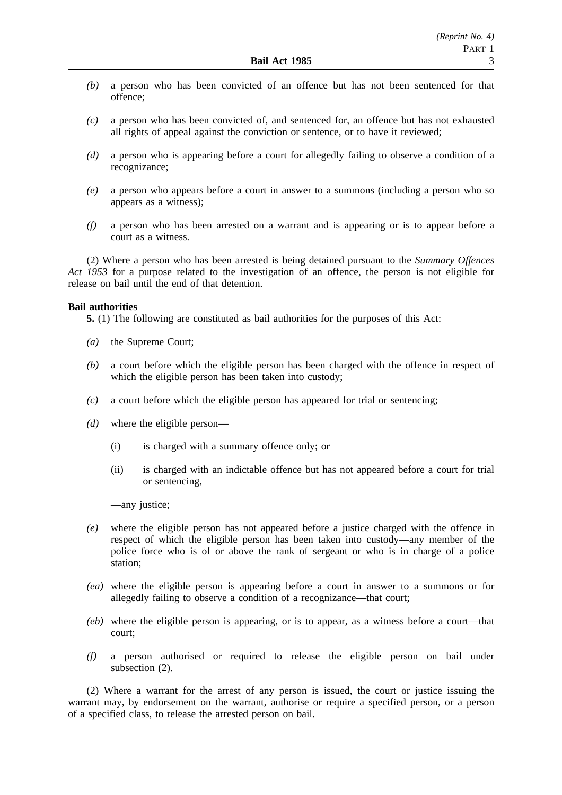- *(b)* a person who has been convicted of an offence but has not been sentenced for that offence;
- *(c)* a person who has been convicted of, and sentenced for, an offence but has not exhausted all rights of appeal against the conviction or sentence, or to have it reviewed;
- *(d)* a person who is appearing before a court for allegedly failing to observe a condition of a recognizance;
- *(e)* a person who appears before a court in answer to a summons (including a person who so appears as a witness);
- *(f)* a person who has been arrested on a warrant and is appearing or is to appear before a court as a witness.

(2) Where a person who has been arrested is being detained pursuant to the *Summary Offences Act 1953* for a purpose related to the investigation of an offence, the person is not eligible for release on bail until the end of that detention.

### **Bail authorities**

**5.** (1) The following are constituted as bail authorities for the purposes of this Act:

- *(a)* the Supreme Court;
- *(b)* a court before which the eligible person has been charged with the offence in respect of which the eligible person has been taken into custody;
- *(c)* a court before which the eligible person has appeared for trial or sentencing;
- *(d)* where the eligible person—
	- (i) is charged with a summary offence only; or
	- (ii) is charged with an indictable offence but has not appeared before a court for trial or sentencing,

—any justice;

- *(e)* where the eligible person has not appeared before a justice charged with the offence in respect of which the eligible person has been taken into custody—any member of the police force who is of or above the rank of sergeant or who is in charge of a police station:
- *(ea)* where the eligible person is appearing before a court in answer to a summons or for allegedly failing to observe a condition of a recognizance—that court;
- *(eb)* where the eligible person is appearing, or is to appear, as a witness before a court—that court;
- *(f)* a person authorised or required to release the eligible person on bail under subsection (2).

(2) Where a warrant for the arrest of any person is issued, the court or justice issuing the warrant may, by endorsement on the warrant, authorise or require a specified person, or a person of a specified class, to release the arrested person on bail.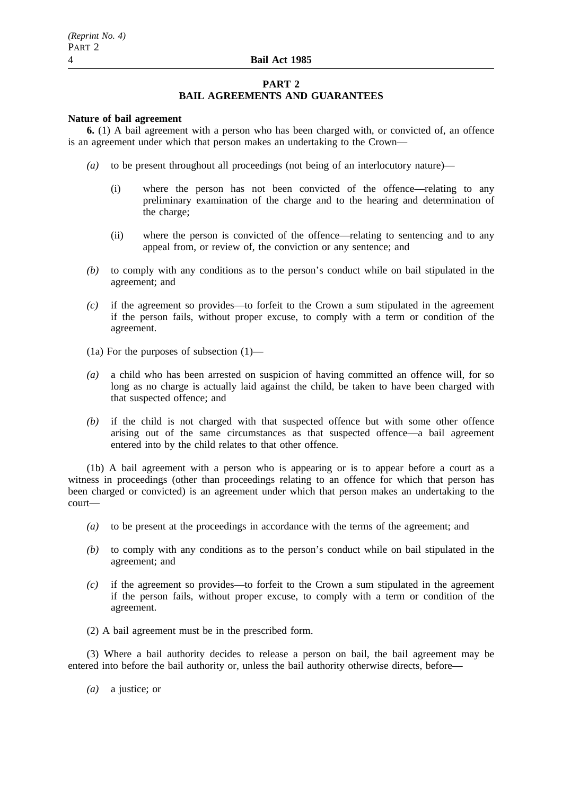### **PART 2 BAIL AGREEMENTS AND GUARANTEES**

#### **Nature of bail agreement**

**6.** (1) A bail agreement with a person who has been charged with, or convicted of, an offence is an agreement under which that person makes an undertaking to the Crown—

- *(a)* to be present throughout all proceedings (not being of an interlocutory nature)—
	- (i) where the person has not been convicted of the offence—relating to any preliminary examination of the charge and to the hearing and determination of the charge;
	- (ii) where the person is convicted of the offence—relating to sentencing and to any appeal from, or review of, the conviction or any sentence; and
- *(b)* to comply with any conditions as to the person's conduct while on bail stipulated in the agreement; and
- *(c)* if the agreement so provides—to forfeit to the Crown a sum stipulated in the agreement if the person fails, without proper excuse, to comply with a term or condition of the agreement.
- (1a) For the purposes of subsection (1)—
- *(a)* a child who has been arrested on suspicion of having committed an offence will, for so long as no charge is actually laid against the child, be taken to have been charged with that suspected offence; and
- *(b)* if the child is not charged with that suspected offence but with some other offence arising out of the same circumstances as that suspected offence—a bail agreement entered into by the child relates to that other offence.

(1b) A bail agreement with a person who is appearing or is to appear before a court as a witness in proceedings (other than proceedings relating to an offence for which that person has been charged or convicted) is an agreement under which that person makes an undertaking to the court—

- *(a)* to be present at the proceedings in accordance with the terms of the agreement; and
- *(b)* to comply with any conditions as to the person's conduct while on bail stipulated in the agreement; and
- *(c)* if the agreement so provides—to forfeit to the Crown a sum stipulated in the agreement if the person fails, without proper excuse, to comply with a term or condition of the agreement.

(2) A bail agreement must be in the prescribed form.

(3) Where a bail authority decides to release a person on bail, the bail agreement may be entered into before the bail authority or, unless the bail authority otherwise directs, before—

*(a)* a justice; or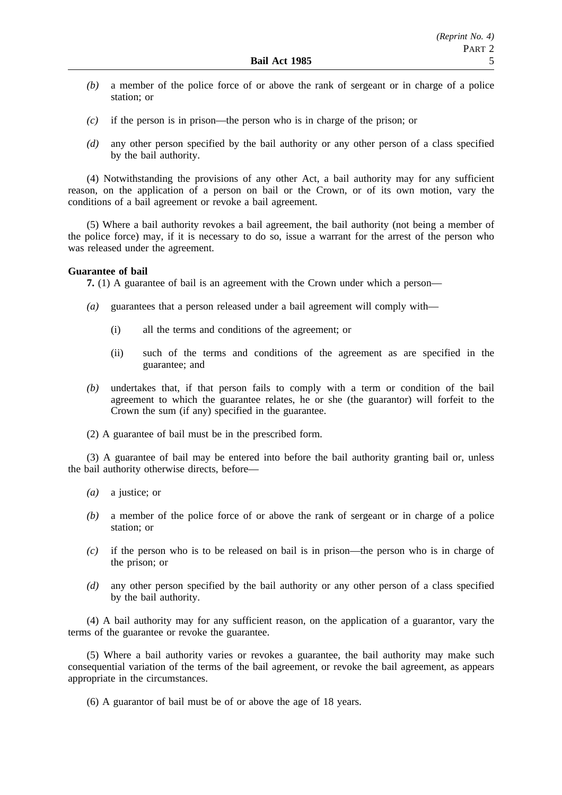- *(b)* a member of the police force of or above the rank of sergeant or in charge of a police station; or
- *(c)* if the person is in prison—the person who is in charge of the prison; or
- *(d)* any other person specified by the bail authority or any other person of a class specified by the bail authority.

(4) Notwithstanding the provisions of any other Act, a bail authority may for any sufficient reason, on the application of a person on bail or the Crown, or of its own motion, vary the conditions of a bail agreement or revoke a bail agreement.

(5) Where a bail authority revokes a bail agreement, the bail authority (not being a member of the police force) may, if it is necessary to do so, issue a warrant for the arrest of the person who was released under the agreement.

### **Guarantee of bail**

**7.** (1) A guarantee of bail is an agreement with the Crown under which a person—

- *(a)* guarantees that a person released under a bail agreement will comply with—
	- (i) all the terms and conditions of the agreement; or
	- (ii) such of the terms and conditions of the agreement as are specified in the guarantee; and
- *(b)* undertakes that, if that person fails to comply with a term or condition of the bail agreement to which the guarantee relates, he or she (the guarantor) will forfeit to the Crown the sum (if any) specified in the guarantee.
- (2) A guarantee of bail must be in the prescribed form.

(3) A guarantee of bail may be entered into before the bail authority granting bail or, unless the bail authority otherwise directs, before—

- *(a)* a justice; or
- *(b)* a member of the police force of or above the rank of sergeant or in charge of a police station; or
- *(c)* if the person who is to be released on bail is in prison—the person who is in charge of the prison; or
- *(d)* any other person specified by the bail authority or any other person of a class specified by the bail authority.

(4) A bail authority may for any sufficient reason, on the application of a guarantor, vary the terms of the guarantee or revoke the guarantee.

(5) Where a bail authority varies or revokes a guarantee, the bail authority may make such consequential variation of the terms of the bail agreement, or revoke the bail agreement, as appears appropriate in the circumstances.

(6) A guarantor of bail must be of or above the age of 18 years.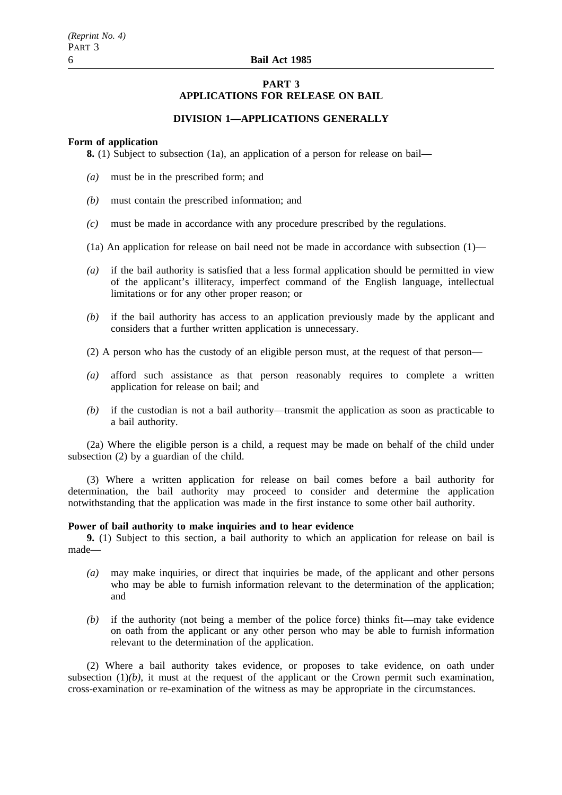## **PART 3 APPLICATIONS FOR RELEASE ON BAIL**

### **DIVISION 1—APPLICATIONS GENERALLY**

#### **Form of application**

**8.** (1) Subject to subsection (1a), an application of a person for release on bail—

- *(a)* must be in the prescribed form; and
- *(b)* must contain the prescribed information; and
- *(c)* must be made in accordance with any procedure prescribed by the regulations.
- (1a) An application for release on bail need not be made in accordance with subsection  $(1)$ —
- *(a)* if the bail authority is satisfied that a less formal application should be permitted in view of the applicant's illiteracy, imperfect command of the English language, intellectual limitations or for any other proper reason; or
- *(b)* if the bail authority has access to an application previously made by the applicant and considers that a further written application is unnecessary.
- (2) A person who has the custody of an eligible person must, at the request of that person—
- *(a)* afford such assistance as that person reasonably requires to complete a written application for release on bail; and
- *(b)* if the custodian is not a bail authority—transmit the application as soon as practicable to a bail authority.

(2a) Where the eligible person is a child, a request may be made on behalf of the child under subsection (2) by a guardian of the child.

(3) Where a written application for release on bail comes before a bail authority for determination, the bail authority may proceed to consider and determine the application notwithstanding that the application was made in the first instance to some other bail authority.

### **Power of bail authority to make inquiries and to hear evidence**

**9.** (1) Subject to this section, a bail authority to which an application for release on bail is made—

- *(a)* may make inquiries, or direct that inquiries be made, of the applicant and other persons who may be able to furnish information relevant to the determination of the application; and
- *(b)* if the authority (not being a member of the police force) thinks fit—may take evidence on oath from the applicant or any other person who may be able to furnish information relevant to the determination of the application.

(2) Where a bail authority takes evidence, or proposes to take evidence, on oath under subsection  $(1)(b)$ , it must at the request of the applicant or the Crown permit such examination, cross-examination or re-examination of the witness as may be appropriate in the circumstances.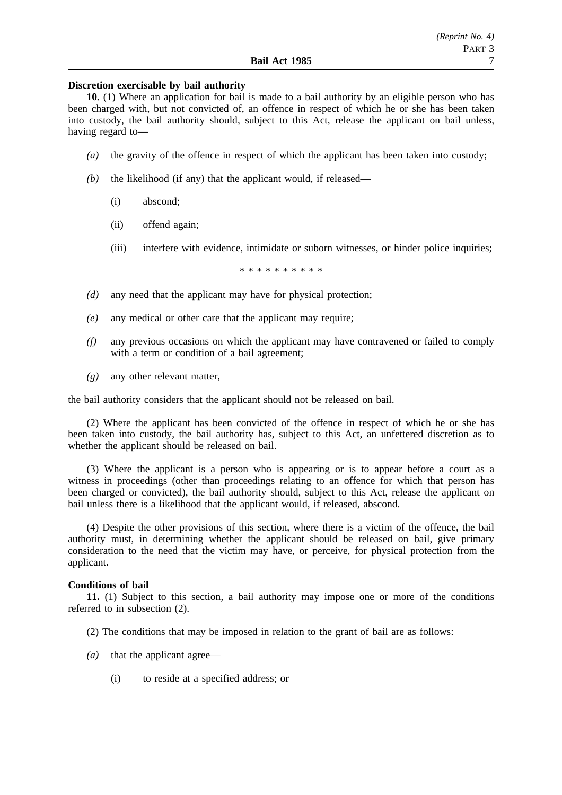### **Discretion exercisable by bail authority**

**10.** (1) Where an application for bail is made to a bail authority by an eligible person who has been charged with, but not convicted of, an offence in respect of which he or she has been taken into custody, the bail authority should, subject to this Act, release the applicant on bail unless, having regard to—

- *(a)* the gravity of the offence in respect of which the applicant has been taken into custody;
- *(b)* the likelihood (if any) that the applicant would, if released—
	- (i) abscond;
	- (ii) offend again;
	- (iii) interfere with evidence, intimidate or suborn witnesses, or hinder police inquiries;

\*\*\*\*\*\*\*\*\*\*

- *(d)* any need that the applicant may have for physical protection;
- *(e)* any medical or other care that the applicant may require;
- *(f)* any previous occasions on which the applicant may have contravened or failed to comply with a term or condition of a bail agreement:
- *(g)* any other relevant matter,

the bail authority considers that the applicant should not be released on bail.

(2) Where the applicant has been convicted of the offence in respect of which he or she has been taken into custody, the bail authority has, subject to this Act, an unfettered discretion as to whether the applicant should be released on bail.

(3) Where the applicant is a person who is appearing or is to appear before a court as a witness in proceedings (other than proceedings relating to an offence for which that person has been charged or convicted), the bail authority should, subject to this Act, release the applicant on bail unless there is a likelihood that the applicant would, if released, abscond.

(4) Despite the other provisions of this section, where there is a victim of the offence, the bail authority must, in determining whether the applicant should be released on bail, give primary consideration to the need that the victim may have, or perceive, for physical protection from the applicant.

#### **Conditions of bail**

**11.** (1) Subject to this section, a bail authority may impose one or more of the conditions referred to in subsection (2).

- (2) The conditions that may be imposed in relation to the grant of bail are as follows:
- *(a)* that the applicant agree—
	- (i) to reside at a specified address; or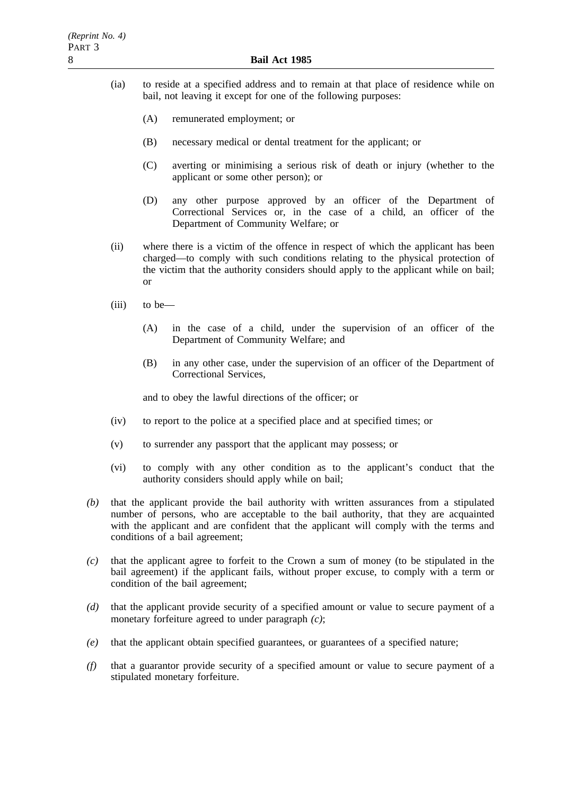- (ia) to reside at a specified address and to remain at that place of residence while on bail, not leaving it except for one of the following purposes:
	- (A) remunerated employment; or
	- (B) necessary medical or dental treatment for the applicant; or
	- (C) averting or minimising a serious risk of death or injury (whether to the applicant or some other person); or
	- (D) any other purpose approved by an officer of the Department of Correctional Services or, in the case of a child, an officer of the Department of Community Welfare; or
- (ii) where there is a victim of the offence in respect of which the applicant has been charged—to comply with such conditions relating to the physical protection of the victim that the authority considers should apply to the applicant while on bail; or
- (iii) to be—
	- (A) in the case of a child, under the supervision of an officer of the Department of Community Welfare; and
	- (B) in any other case, under the supervision of an officer of the Department of Correctional Services,

and to obey the lawful directions of the officer; or

- (iv) to report to the police at a specified place and at specified times; or
- (v) to surrender any passport that the applicant may possess; or
- (vi) to comply with any other condition as to the applicant's conduct that the authority considers should apply while on bail;
- *(b)* that the applicant provide the bail authority with written assurances from a stipulated number of persons, who are acceptable to the bail authority, that they are acquainted with the applicant and are confident that the applicant will comply with the terms and conditions of a bail agreement;
- *(c)* that the applicant agree to forfeit to the Crown a sum of money (to be stipulated in the bail agreement) if the applicant fails, without proper excuse, to comply with a term or condition of the bail agreement;
- *(d)* that the applicant provide security of a specified amount or value to secure payment of a monetary forfeiture agreed to under paragraph *(c)*;
- *(e)* that the applicant obtain specified guarantees, or guarantees of a specified nature;
- *(f)* that a guarantor provide security of a specified amount or value to secure payment of a stipulated monetary forfeiture.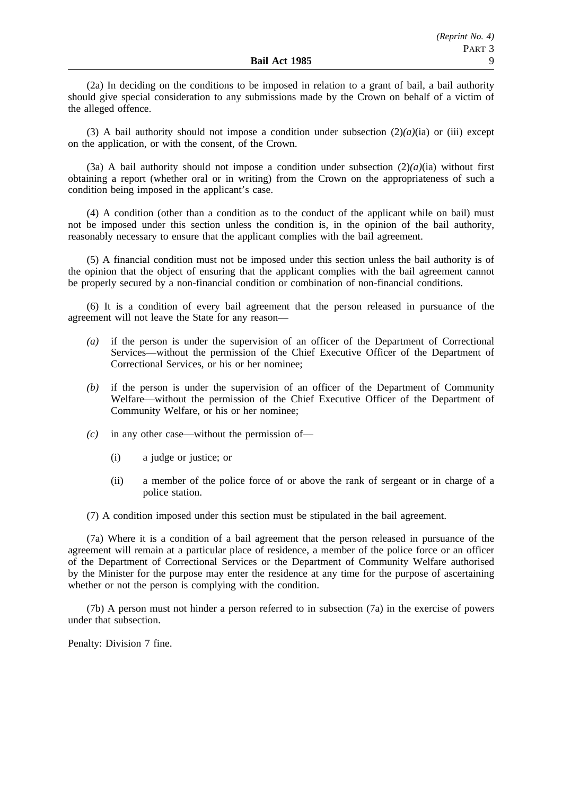(2a) In deciding on the conditions to be imposed in relation to a grant of bail, a bail authority should give special consideration to any submissions made by the Crown on behalf of a victim of the alleged offence.

(3) A bail authority should not impose a condition under subsection  $(2)(a)(ia)$  or (iii) except on the application, or with the consent, of the Crown.

(3a) A bail authority should not impose a condition under subsection  $(2)(a)(ia)$  without first obtaining a report (whether oral or in writing) from the Crown on the appropriateness of such a condition being imposed in the applicant's case.

(4) A condition (other than a condition as to the conduct of the applicant while on bail) must not be imposed under this section unless the condition is, in the opinion of the bail authority, reasonably necessary to ensure that the applicant complies with the bail agreement.

(5) A financial condition must not be imposed under this section unless the bail authority is of the opinion that the object of ensuring that the applicant complies with the bail agreement cannot be properly secured by a non-financial condition or combination of non-financial conditions.

(6) It is a condition of every bail agreement that the person released in pursuance of the agreement will not leave the State for any reason—

- *(a)* if the person is under the supervision of an officer of the Department of Correctional Services—without the permission of the Chief Executive Officer of the Department of Correctional Services, or his or her nominee;
- *(b)* if the person is under the supervision of an officer of the Department of Community Welfare—without the permission of the Chief Executive Officer of the Department of Community Welfare, or his or her nominee;
- *(c)* in any other case—without the permission of—
	- (i) a judge or justice; or
	- (ii) a member of the police force of or above the rank of sergeant or in charge of a police station.

(7) A condition imposed under this section must be stipulated in the bail agreement.

(7a) Where it is a condition of a bail agreement that the person released in pursuance of the agreement will remain at a particular place of residence, a member of the police force or an officer of the Department of Correctional Services or the Department of Community Welfare authorised by the Minister for the purpose may enter the residence at any time for the purpose of ascertaining whether or not the person is complying with the condition.

(7b) A person must not hinder a person referred to in subsection (7a) in the exercise of powers under that subsection.

Penalty: Division 7 fine.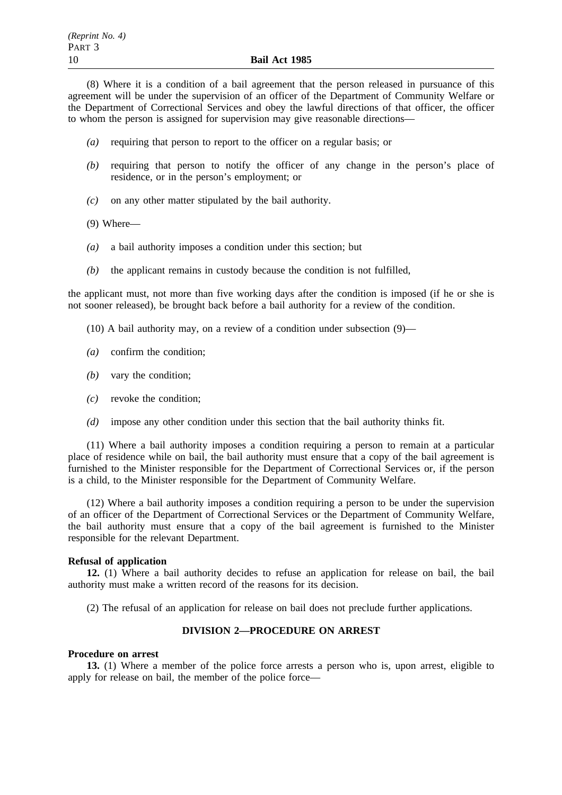(8) Where it is a condition of a bail agreement that the person released in pursuance of this agreement will be under the supervision of an officer of the Department of Community Welfare or the Department of Correctional Services and obey the lawful directions of that officer, the officer to whom the person is assigned for supervision may give reasonable directions—

- *(a)* requiring that person to report to the officer on a regular basis; or
- *(b)* requiring that person to notify the officer of any change in the person's place of residence, or in the person's employment; or
- *(c)* on any other matter stipulated by the bail authority.
- (9) Where—
- *(a)* a bail authority imposes a condition under this section; but
- *(b)* the applicant remains in custody because the condition is not fulfilled,

the applicant must, not more than five working days after the condition is imposed (if he or she is not sooner released), be brought back before a bail authority for a review of the condition.

- (10) A bail authority may, on a review of a condition under subsection (9)—
- *(a)* confirm the condition;
- *(b)* vary the condition;
- *(c)* revoke the condition;
- *(d)* impose any other condition under this section that the bail authority thinks fit.

(11) Where a bail authority imposes a condition requiring a person to remain at a particular place of residence while on bail, the bail authority must ensure that a copy of the bail agreement is furnished to the Minister responsible for the Department of Correctional Services or, if the person is a child, to the Minister responsible for the Department of Community Welfare.

(12) Where a bail authority imposes a condition requiring a person to be under the supervision of an officer of the Department of Correctional Services or the Department of Community Welfare, the bail authority must ensure that a copy of the bail agreement is furnished to the Minister responsible for the relevant Department.

#### **Refusal of application**

**12.** (1) Where a bail authority decides to refuse an application for release on bail, the bail authority must make a written record of the reasons for its decision.

(2) The refusal of an application for release on bail does not preclude further applications.

### **DIVISION 2—PROCEDURE ON ARREST**

#### **Procedure on arrest**

**13.** (1) Where a member of the police force arrests a person who is, upon arrest, eligible to apply for release on bail, the member of the police force—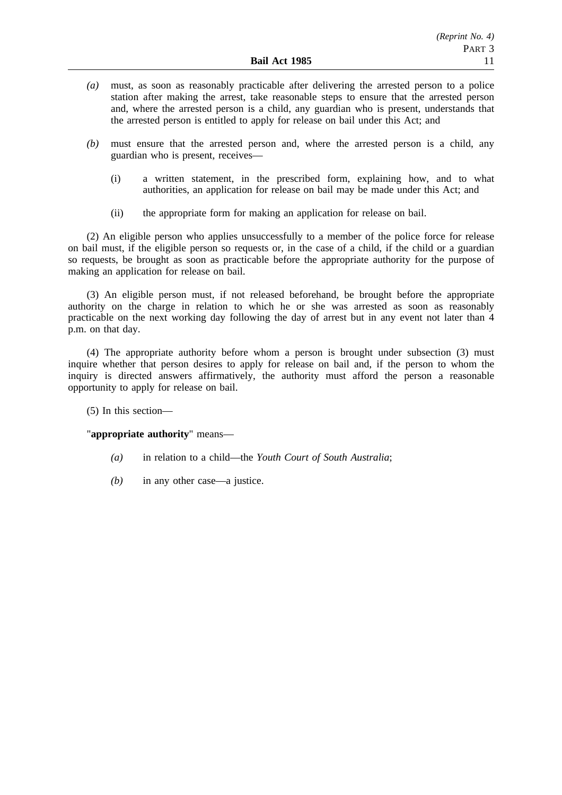- *(a)* must, as soon as reasonably practicable after delivering the arrested person to a police station after making the arrest, take reasonable steps to ensure that the arrested person and, where the arrested person is a child, any guardian who is present, understands that the arrested person is entitled to apply for release on bail under this Act; and
- *(b)* must ensure that the arrested person and, where the arrested person is a child, any guardian who is present, receives—
	- (i) a written statement, in the prescribed form, explaining how, and to what authorities, an application for release on bail may be made under this Act; and
	- (ii) the appropriate form for making an application for release on bail.

(2) An eligible person who applies unsuccessfully to a member of the police force for release on bail must, if the eligible person so requests or, in the case of a child, if the child or a guardian so requests, be brought as soon as practicable before the appropriate authority for the purpose of making an application for release on bail.

(3) An eligible person must, if not released beforehand, be brought before the appropriate authority on the charge in relation to which he or she was arrested as soon as reasonably practicable on the next working day following the day of arrest but in any event not later than 4 p.m. on that day.

(4) The appropriate authority before whom a person is brought under subsection (3) must inquire whether that person desires to apply for release on bail and, if the person to whom the inquiry is directed answers affirmatively, the authority must afford the person a reasonable opportunity to apply for release on bail.

(5) In this section—

"**appropriate authority**" means—

- *(a)* in relation to a child—the *Youth Court of South Australia*;
- *(b)* in any other case—a justice.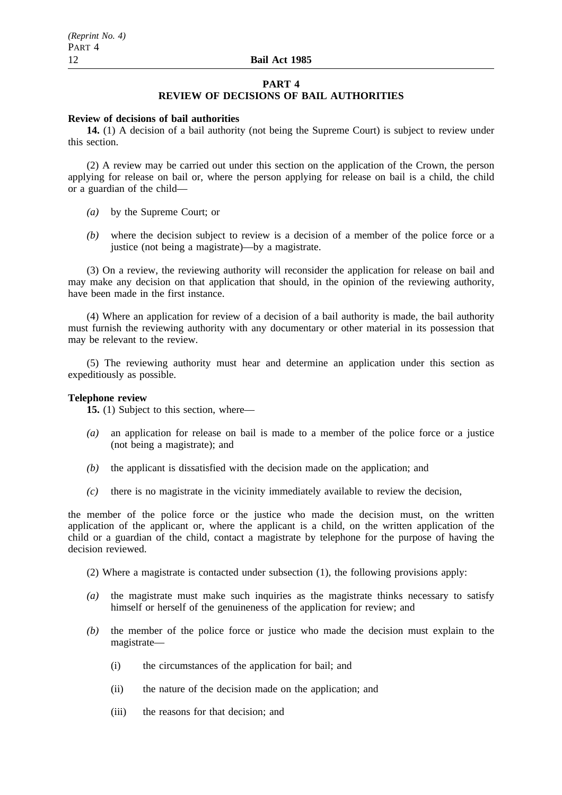#### **PART 4**

### **REVIEW OF DECISIONS OF BAIL AUTHORITIES**

#### **Review of decisions of bail authorities**

**14.** (1) A decision of a bail authority (not being the Supreme Court) is subject to review under this section.

(2) A review may be carried out under this section on the application of the Crown, the person applying for release on bail or, where the person applying for release on bail is a child, the child or a guardian of the child—

- *(a)* by the Supreme Court; or
- *(b)* where the decision subject to review is a decision of a member of the police force or a justice (not being a magistrate)—by a magistrate.

(3) On a review, the reviewing authority will reconsider the application for release on bail and may make any decision on that application that should, in the opinion of the reviewing authority, have been made in the first instance.

(4) Where an application for review of a decision of a bail authority is made, the bail authority must furnish the reviewing authority with any documentary or other material in its possession that may be relevant to the review.

(5) The reviewing authority must hear and determine an application under this section as expeditiously as possible.

### **Telephone review**

**15.** (1) Subject to this section, where—

- *(a)* an application for release on bail is made to a member of the police force or a justice (not being a magistrate); and
- *(b)* the applicant is dissatisfied with the decision made on the application; and
- *(c)* there is no magistrate in the vicinity immediately available to review the decision,

the member of the police force or the justice who made the decision must, on the written application of the applicant or, where the applicant is a child, on the written application of the child or a guardian of the child, contact a magistrate by telephone for the purpose of having the decision reviewed.

(2) Where a magistrate is contacted under subsection (1), the following provisions apply:

- *(a)* the magistrate must make such inquiries as the magistrate thinks necessary to satisfy himself or herself of the genuineness of the application for review; and
- *(b)* the member of the police force or justice who made the decision must explain to the magistrate—
	- (i) the circumstances of the application for bail; and
	- (ii) the nature of the decision made on the application; and
	- (iii) the reasons for that decision; and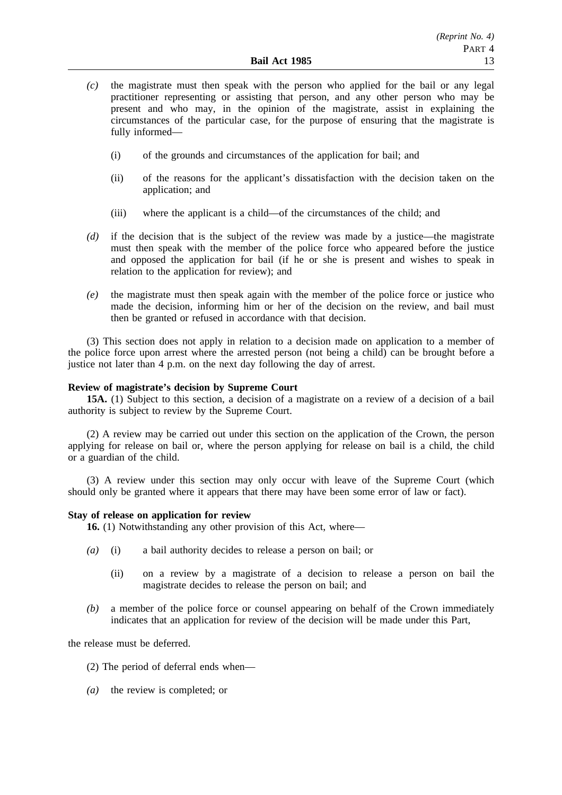- *(c)* the magistrate must then speak with the person who applied for the bail or any legal practitioner representing or assisting that person, and any other person who may be present and who may, in the opinion of the magistrate, assist in explaining the circumstances of the particular case, for the purpose of ensuring that the magistrate is fully informed—
	- (i) of the grounds and circumstances of the application for bail; and
	- (ii) of the reasons for the applicant's dissatisfaction with the decision taken on the application; and
	- (iii) where the applicant is a child—of the circumstances of the child; and
- *(d)* if the decision that is the subject of the review was made by a justice—the magistrate must then speak with the member of the police force who appeared before the justice and opposed the application for bail (if he or she is present and wishes to speak in relation to the application for review); and
- *(e)* the magistrate must then speak again with the member of the police force or justice who made the decision, informing him or her of the decision on the review, and bail must then be granted or refused in accordance with that decision.

(3) This section does not apply in relation to a decision made on application to a member of the police force upon arrest where the arrested person (not being a child) can be brought before a justice not later than 4 p.m. on the next day following the day of arrest.

### **Review of magistrate's decision by Supreme Court**

**15A.** (1) Subject to this section, a decision of a magistrate on a review of a decision of a bail authority is subject to review by the Supreme Court.

(2) A review may be carried out under this section on the application of the Crown, the person applying for release on bail or, where the person applying for release on bail is a child, the child or a guardian of the child.

(3) A review under this section may only occur with leave of the Supreme Court (which should only be granted where it appears that there may have been some error of law or fact).

### **Stay of release on application for review**

**16.** (1) Notwithstanding any other provision of this Act, where—

- *(a)* (i) a bail authority decides to release a person on bail; or
	- (ii) on a review by a magistrate of a decision to release a person on bail the magistrate decides to release the person on bail; and
- *(b)* a member of the police force or counsel appearing on behalf of the Crown immediately indicates that an application for review of the decision will be made under this Part,

the release must be deferred.

- (2) The period of deferral ends when—
- *(a)* the review is completed; or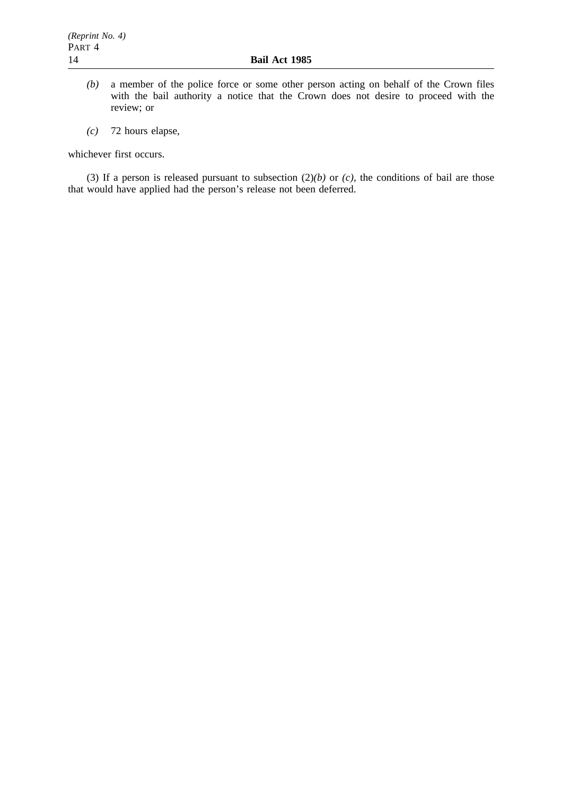- *(b)* a member of the police force or some other person acting on behalf of the Crown files with the bail authority a notice that the Crown does not desire to proceed with the review; or
- *(c)* 72 hours elapse,

whichever first occurs.

(3) If a person is released pursuant to subsection  $(2)(b)$  or  $(c)$ , the conditions of bail are those that would have applied had the person's release not been deferred.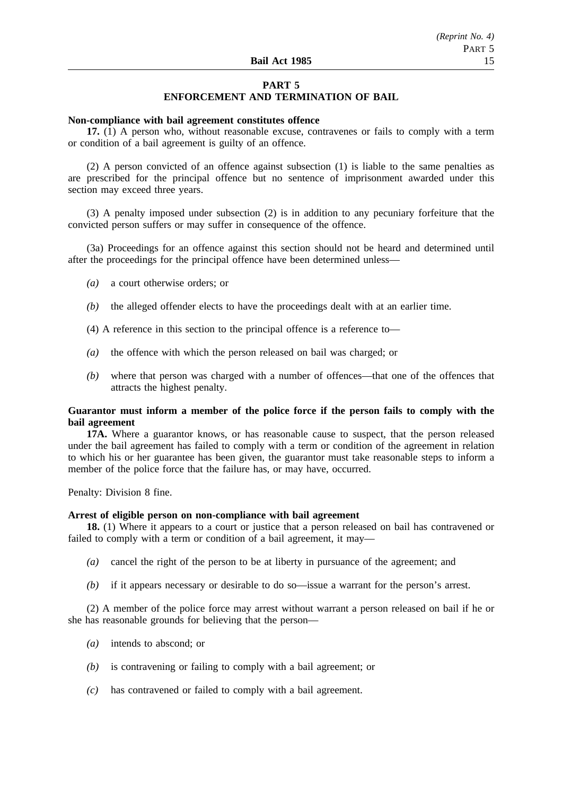## **PART 5**

## **ENFORCEMENT AND TERMINATION OF BAIL**

### **Non-compliance with bail agreement constitutes offence**

**17.** (1) A person who, without reasonable excuse, contravenes or fails to comply with a term or condition of a bail agreement is guilty of an offence.

(2) A person convicted of an offence against subsection (1) is liable to the same penalties as are prescribed for the principal offence but no sentence of imprisonment awarded under this section may exceed three years.

(3) A penalty imposed under subsection (2) is in addition to any pecuniary forfeiture that the convicted person suffers or may suffer in consequence of the offence.

(3a) Proceedings for an offence against this section should not be heard and determined until after the proceedings for the principal offence have been determined unless—

- *(a)* a court otherwise orders; or
- *(b)* the alleged offender elects to have the proceedings dealt with at an earlier time.

(4) A reference in this section to the principal offence is a reference to—

- *(a)* the offence with which the person released on bail was charged; or
- *(b)* where that person was charged with a number of offences—that one of the offences that attracts the highest penalty.

### **Guarantor must inform a member of the police force if the person fails to comply with the bail agreement**

**17A.** Where a guarantor knows, or has reasonable cause to suspect, that the person released under the bail agreement has failed to comply with a term or condition of the agreement in relation to which his or her guarantee has been given, the guarantor must take reasonable steps to inform a member of the police force that the failure has, or may have, occurred.

Penalty: Division 8 fine.

#### **Arrest of eligible person on non-compliance with bail agreement**

**18.** (1) Where it appears to a court or justice that a person released on bail has contravened or failed to comply with a term or condition of a bail agreement, it may—

- *(a)* cancel the right of the person to be at liberty in pursuance of the agreement; and
- *(b)* if it appears necessary or desirable to do so—issue a warrant for the person's arrest.

(2) A member of the police force may arrest without warrant a person released on bail if he or she has reasonable grounds for believing that the person—

- *(a)* intends to abscond; or
- *(b)* is contravening or failing to comply with a bail agreement; or
- *(c)* has contravened or failed to comply with a bail agreement.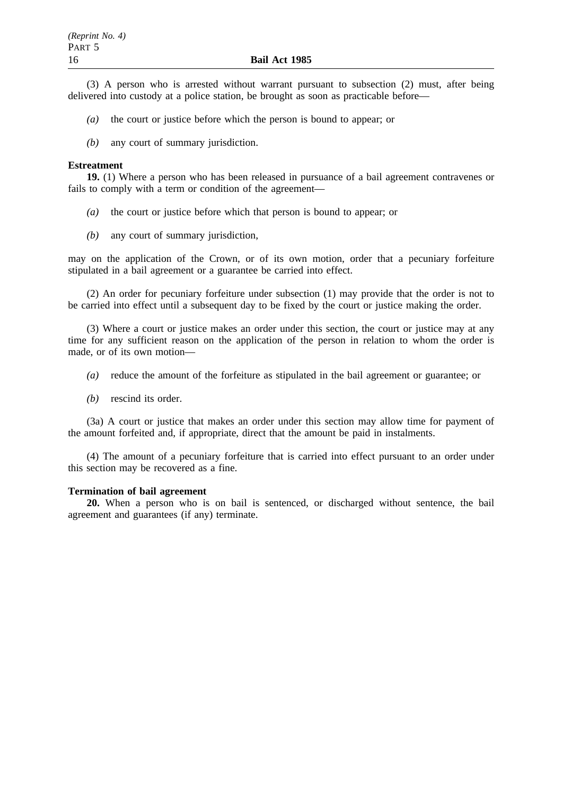(3) A person who is arrested without warrant pursuant to subsection (2) must, after being delivered into custody at a police station, be brought as soon as practicable before—

- *(a)* the court or justice before which the person is bound to appear; or
- *(b)* any court of summary jurisdiction.

#### **Estreatment**

**19.** (1) Where a person who has been released in pursuance of a bail agreement contravenes or fails to comply with a term or condition of the agreement—

- *(a)* the court or justice before which that person is bound to appear; or
- *(b)* any court of summary jurisdiction,

may on the application of the Crown, or of its own motion, order that a pecuniary forfeiture stipulated in a bail agreement or a guarantee be carried into effect.

(2) An order for pecuniary forfeiture under subsection (1) may provide that the order is not to be carried into effect until a subsequent day to be fixed by the court or justice making the order.

(3) Where a court or justice makes an order under this section, the court or justice may at any time for any sufficient reason on the application of the person in relation to whom the order is made, or of its own motion—

- *(a)* reduce the amount of the forfeiture as stipulated in the bail agreement or guarantee; or
- *(b)* rescind its order.

(3a) A court or justice that makes an order under this section may allow time for payment of the amount forfeited and, if appropriate, direct that the amount be paid in instalments.

(4) The amount of a pecuniary forfeiture that is carried into effect pursuant to an order under this section may be recovered as a fine.

### **Termination of bail agreement**

**20.** When a person who is on bail is sentenced, or discharged without sentence, the bail agreement and guarantees (if any) terminate.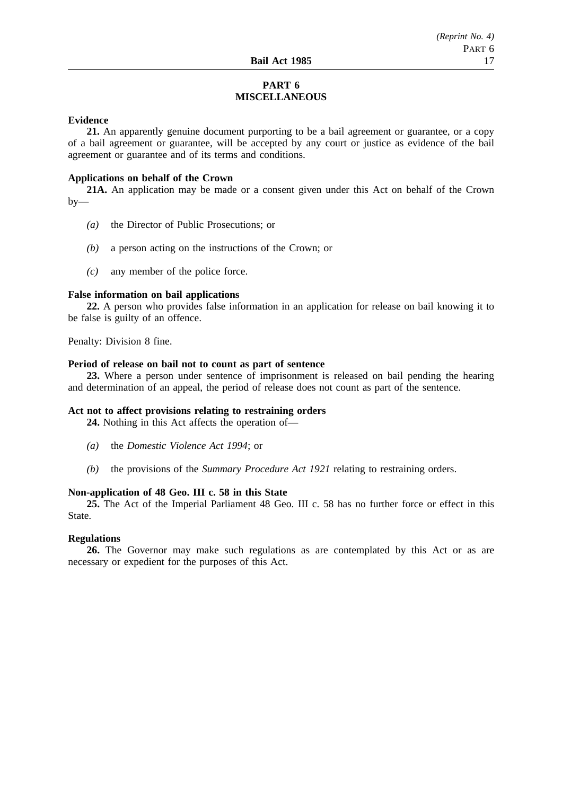## **PART 6 MISCELLANEOUS**

### **Evidence**

**21.** An apparently genuine document purporting to be a bail agreement or guarantee, or a copy of a bail agreement or guarantee, will be accepted by any court or justice as evidence of the bail agreement or guarantee and of its terms and conditions.

### **Applications on behalf of the Crown**

**21A.** An application may be made or a consent given under this Act on behalf of the Crown  $by-$ 

- *(a)* the Director of Public Prosecutions; or
- *(b)* a person acting on the instructions of the Crown; or
- *(c)* any member of the police force.

### **False information on bail applications**

**22.** A person who provides false information in an application for release on bail knowing it to be false is guilty of an offence.

Penalty: Division 8 fine.

### **Period of release on bail not to count as part of sentence**

**23.** Where a person under sentence of imprisonment is released on bail pending the hearing and determination of an appeal, the period of release does not count as part of the sentence.

### **Act not to affect provisions relating to restraining orders**

**24.** Nothing in this Act affects the operation of—

- *(a)* the *Domestic Violence Act 1994*; or
- *(b)* the provisions of the *Summary Procedure Act 1921* relating to restraining orders.

### **Non-application of 48 Geo. III c. 58 in this State**

**25.** The Act of the Imperial Parliament 48 Geo. III c. 58 has no further force or effect in this State.

#### **Regulations**

**26.** The Governor may make such regulations as are contemplated by this Act or as are necessary or expedient for the purposes of this Act.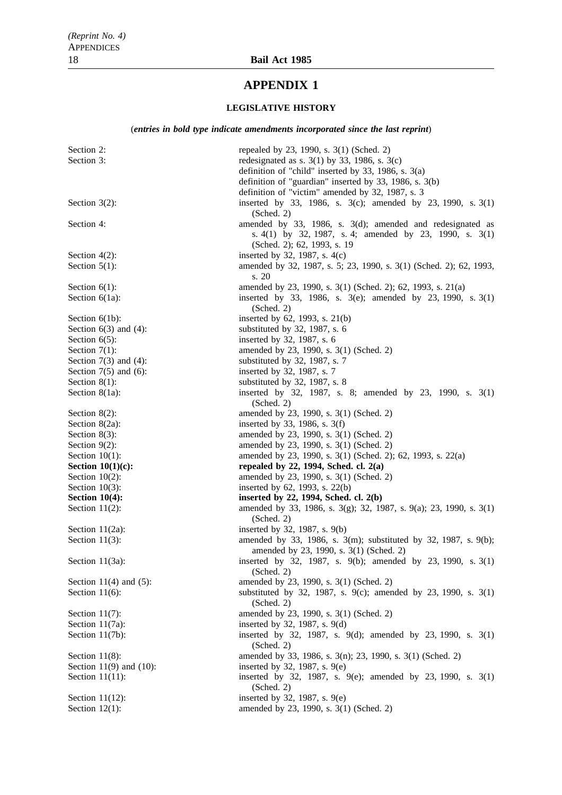# **APPENDIX 1**

## **LEGISLATIVE HISTORY**

### (*entries in bold type indicate amendments incorporated since the last reprint*)

| Section 2:                  | repealed by 23, 1990, s. 3(1) (Sched. 2)                                                                                   |
|-----------------------------|----------------------------------------------------------------------------------------------------------------------------|
| Section 3:                  | redesignated as s. $3(1)$ by 33, 1986, s. $3(c)$                                                                           |
|                             | definition of "child" inserted by 33, 1986, s. $3(a)$                                                                      |
|                             | definition of "guardian" inserted by 33, 1986, s. 3(b)                                                                     |
|                             | definition of "victim" amended by 32, 1987, s. 3                                                                           |
| Section $3(2)$ :            | inserted by 33, 1986, s. $3(c)$ ; amended by 23, 1990, s. $3(1)$                                                           |
|                             | (Sched. 2)                                                                                                                 |
| Section 4:                  | amended by $33$ , 1986, s. $3(d)$ ; amended and redesignated as                                                            |
|                             | s. 4(1) by 32, 1987, s. 4; amended by 23, 1990, s. $3(1)$                                                                  |
|                             | (Sched. 2); 62, 1993, s. 19                                                                                                |
| Section $4(2)$ :            | inserted by 32, 1987, s. $4(c)$                                                                                            |
| Section $5(1)$ :            | amended by 32, 1987, s. 5; 23, 1990, s. 3(1) (Sched. 2); 62, 1993,                                                         |
|                             | s. 20                                                                                                                      |
| Section $6(1)$ :            | amended by 23, 1990, s. 3(1) (Sched. 2); 62, 1993, s. 21(a)<br>inserted by 33, 1986, s. 3(e); amended by 23, 1990, s. 3(1) |
| Section $6(1a)$ :           | (Sched. 2)                                                                                                                 |
| Section $6(1b)$ :           | inserted by 62, 1993, s. 21(b)                                                                                             |
| Section $6(3)$ and $(4)$ :  | substituted by 32, 1987, s. 6                                                                                              |
| Section $6(5)$ :            | inserted by 32, 1987, s. 6                                                                                                 |
| Section $7(1)$ :            | amended by 23, 1990, s. 3(1) (Sched. 2)                                                                                    |
| Section $7(3)$ and $(4)$ :  | substituted by 32, 1987, s. 7                                                                                              |
| Section $7(5)$ and $(6)$ :  | inserted by 32, 1987, s. 7                                                                                                 |
| Section $8(1)$ :            | substituted by 32, 1987, s. 8                                                                                              |
| Section $8(1a)$ :           | inserted by 32, 1987, s. 8; amended by 23, 1990, s. 3(1)                                                                   |
|                             | (Sched. 2)                                                                                                                 |
| Section $8(2)$ :            | amended by 23, 1990, s. 3(1) (Sched. 2)                                                                                    |
| Section 8(2a):              | inserted by 33, 1986, s. $3(f)$                                                                                            |
| Section $8(3)$ :            | amended by 23, 1990, s. 3(1) (Sched. 2)                                                                                    |
| Section $9(2)$ :            | amended by 23, 1990, s. 3(1) (Sched. 2)                                                                                    |
| Section $10(1)$ :           | amended by 23, 1990, s. 3(1) (Sched. 2); 62, 1993, s. 22(a)                                                                |
| Section $10(1)(c)$ :        | repealed by 22, 1994, Sched. cl. $2(a)$                                                                                    |
| Section $10(2)$ :           | amended by 23, 1990, s. 3(1) (Sched. 2)                                                                                    |
| Section $10(3)$ :           | inserted by 62, 1993, s. 22(b)                                                                                             |
| Section $10(4)$ :           | inserted by 22, 1994, Sched. cl. 2(b)                                                                                      |
| Section $11(2)$ :           | amended by 33, 1986, s. 3(g); 32, 1987, s. 9(a); 23, 1990, s. 3(1)<br>(Sched. 2)                                           |
| Section $11(2a)$ :          | inserted by 32, 1987, s. 9(b)                                                                                              |
| Section $11(3)$ :           | amended by 33, 1986, s. 3(m); substituted by 32, 1987, s. 9(b);                                                            |
|                             | amended by 23, 1990, s. 3(1) (Sched. 2)                                                                                    |
| Section 11(3a):             | inserted by 32, 1987, s. 9(b); amended by 23, 1990, s. 3(1)                                                                |
|                             | (Sched. 2)                                                                                                                 |
| Section $11(4)$ and $(5)$ : | amended by 23, 1990, s. 3(1) (Sched. 2)                                                                                    |
| Section $11(6)$ :           | substituted by 32, 1987, s. 9(c); amended by 23, 1990, s. 3(1)                                                             |
|                             | (Sched. 2)                                                                                                                 |
| Section $11(7)$ :           | amended by 23, 1990, s. 3(1) (Sched. 2)                                                                                    |
| Section $11(7a)$ :          | inserted by 32, 1987, s. 9(d)                                                                                              |
| Section 11(7b):             | inserted by 32, 1987, s. 9(d); amended by 23, 1990, s. $3(1)$<br>(Sched. 2)                                                |
| Section $11(8)$ :           | amended by 33, 1986, s. 3(n); 23, 1990, s. 3(1) (Sched. 2)                                                                 |
| Section 11(9) and $(10)$ :  | inserted by 32, 1987, s. 9(e)                                                                                              |
| Section $11(11)$ :          | inserted by 32, 1987, s. 9(e); amended by 23, 1990, s. 3(1)                                                                |
|                             | (Sched. 2)                                                                                                                 |
| Section $11(12)$ :          | inserted by 32, 1987, s. 9(e)                                                                                              |
| Section $12(1)$ :           | amended by 23, 1990, s. 3(1) (Sched. 2)                                                                                    |
|                             |                                                                                                                            |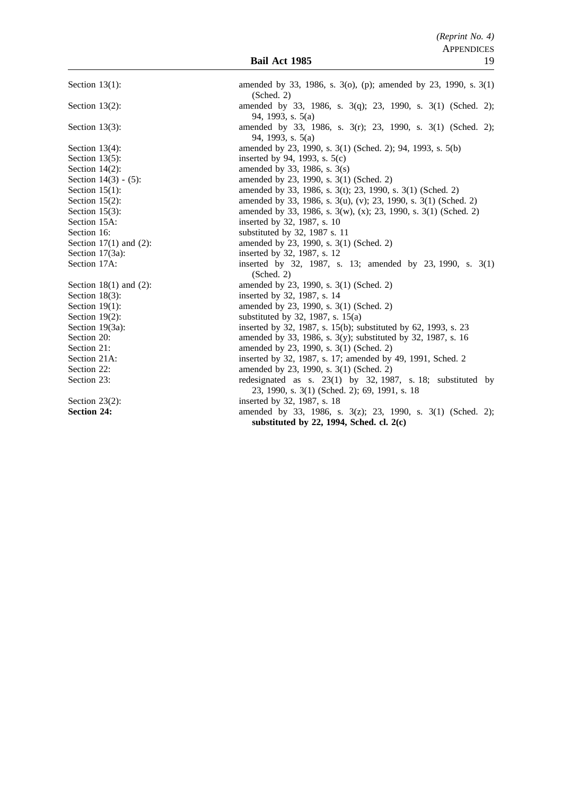Section 13(1): amended by 33, 1986, s. 3(o), (p); amended by 23, 1990, s. 3(1) (Sched. 2) Section 13(2): amended by 33, 1986, s. 3(q); 23, 1990, s. 3(1) (Sched. 2); 94, 1993, s. 5(a) Section 13(3): amended by 33, 1986, s. 3(r); 23, 1990, s. 3(1) (Sched. 2); 94, 1993, s. 5(a) Section 13(4): amended by 23, 1990, s. 3(1) (Sched. 2); 94, 1993, s. 5(b) Section 13(5): inserted by 94, 1993, s.  $5(c)$ Section 14(2): amended by 33, 1986, s.  $3(s)$ Section 14(3) - (5): amended by 23, 1990, s. 3(1) (Sched. 2) Section 15(1): amended by 33, 1986, s. 3(t); 23, 1990, s. 3(1) (Sched. 2) Section 15(2): amended by 33, 1986, s. 3(u), (v); 23, 1990, s. 3(1) (Sched. 2) Section 15(3): amended by 33, 1986, s. 3(w), (x); 23, 1990, s. 3(1) (Sched. 2) Section 15A: inserted by 32, 1987, s. 10 Section 16: substituted by 32, 1987 s. 11 Section 17(1) and (2): amended by 23, 1990, s. 3(1) (Sched. 2) Section 17(3a): inserted by 32, 1987, s. 12 Section 17A: inserted by 32, 1987, s. 13; amended by 23, 1990, s. 3(1) (Sched. 2) Section 18(1) and (2): amended by 23, 1990, s. 3(1) (Sched. 2) Section 18(3): inserted by 32, 1987, s. 14 Section 19(1): amended by 23, 1990, s. 3(1) (Sched. 2) Section 19(2): substituted by 32, 1987, s. 15(a) Section 19(3a): inserted by 32, 1987, s. 15(b); substituted by 62, 1993, s. 23<br>Section 20: amended by 33, 1986, s. 3(y); substituted by 32, 1987, s. 16 amended by 33, 1986, s. 3(y); substituted by 32, 1987, s. 16 Section 21: amended by 23, 1990, s. 3(1) (Sched. 2)<br>Section 21A: inserted by 32, 1987, s. 17; amended by Section 21A: inserted by 32, 1987, s. 17; amended by 49, 1991, Sched. 2<br>Section 22: amended by 23, 1990, s. 3(1) (Sched. 2) amended by 23, 1990, s. 3(1) (Sched. 2) Section 23: redesignated as s. 23(1) by 32, 1987, s. 18; substituted by 23, 1990, s. 3(1) (Sched. 2); 69, 1991, s. 18 Section 23(2): inserted by 32, 1987, s. 18 **Section 24:** amended by 33, 1986, s. 3(z); 23, 1990, s. 3(1) (Sched. 2); **substituted by 22, 1994, Sched. cl. 2(c)**